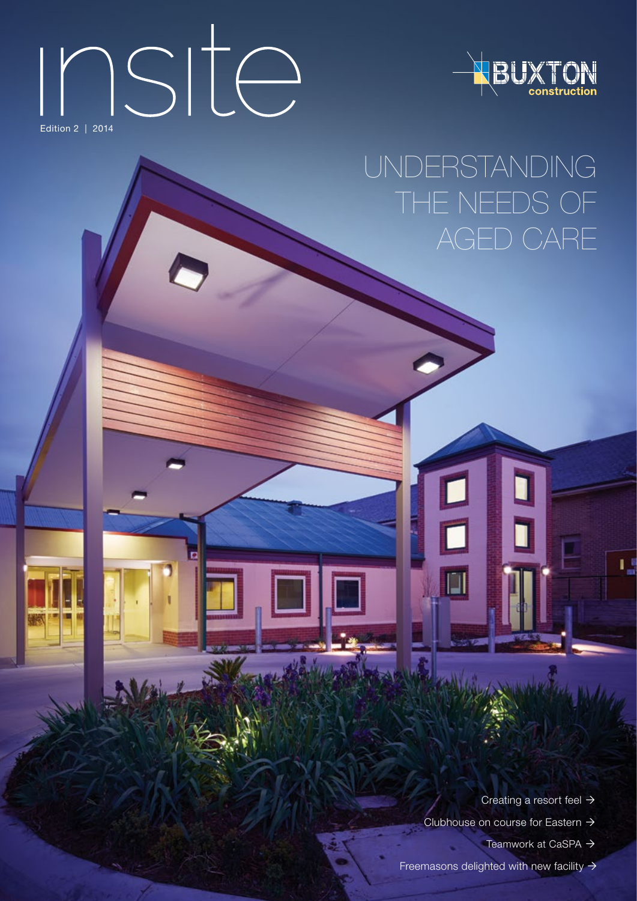# Insite Edition 2 | 2014



## Understanding the needs of aged care

Ē

Creating a resort feel  $\rightarrow$ 

ų

Clubhouse on course for Eastern  $\rightarrow$ 

Teamwork at CaSPA  $\rightarrow$ 

Edition 2 2014 | **Insite**

Freemasons delighted with new facility  $\rightarrow$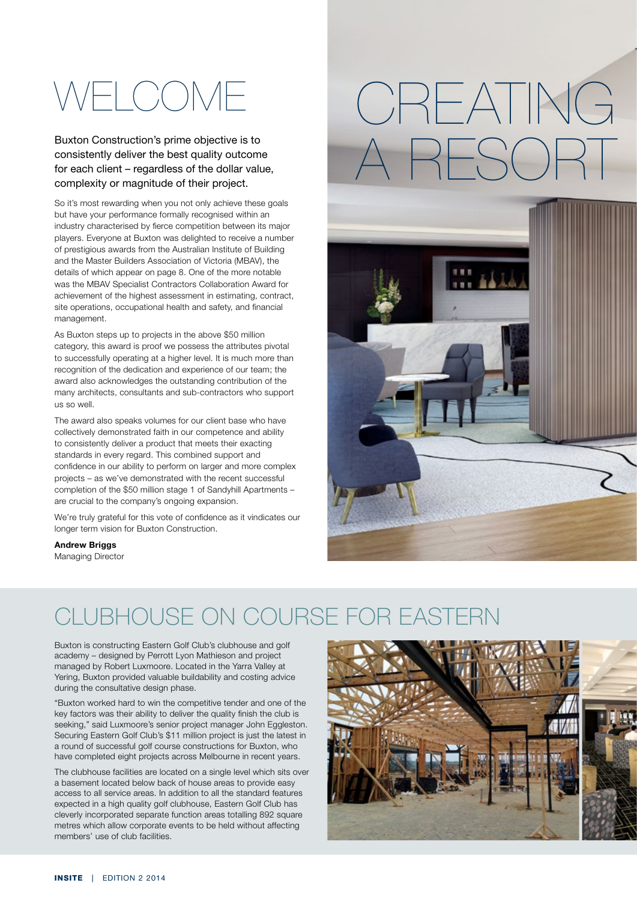# $=$ I $\cap$

consistently deliver the best quality outcome for each client – regardless of the dollar value, complexity or magnitude of their project.

So it's most rewarding when you not only achieve these goals but have your performance formally recognised within an industry characterised by fierce competition between its major players. Everyone at Buxton was delighted to receive a number of prestigious awards from the Australian Institute of Building and the Master Builders Association of Victoria (MBAV), the details of which appear on page 8. One of the more notable was the MBAV Specialist Contractors Collaboration Award for achievement of the highest assessment in estimating, contract, site operations, occupational health and safety, and financial management.

As Buxton steps up to projects in the above \$50 million category, this award is proof we possess the attributes pivotal to successfully operating at a higher level. It is much more than recognition of the dedication and experience of our team; the award also acknowledges the outstanding contribution of the many architects, consultants and sub-contractors who support us so well.

The award also speaks volumes for our client base who have collectively demonstrated faith in our competence and ability to consistently deliver a product that meets their exacting standards in every regard. This combined support and confidence in our ability to perform on larger and more complex projects – as we've demonstrated with the recent successful completion of the \$50 million stage 1 of Sandyhill Apartments – are crucial to the company's ongoing expansion.

We're truly grateful for this vote of confidence as it vindicates our longer term vision for Buxton Construction.

#### **Andrew Briggs**

Managing Director





### CLUBHOUSE ON COURSE F

Buxton is constructing Eastern Golf Club's clubhouse and golf academy – designed by Perrott Lyon Mathieson and project managed by Robert Luxmoore. Located in the Yarra Valley at Yering, Buxton provided valuable buildability and costing advice during the consultative design phase.

"Buxton worked hard to win the competitive tender and one of the key factors was their ability to deliver the quality finish the club is seeking," said Luxmoore's senior project manager John Eggleston. Securing Eastern Golf Club's \$11 million project is just the latest in a round of successful golf course constructions for Buxton, who have completed eight projects across Melbourne in recent years.

The clubhouse facilities are located on a single level which sits over a basement located below back of house areas to provide easy access to all service areas. In addition to all the standard features expected in a high quality golf clubhouse, Eastern Golf Club has cleverly incorporated separate function areas totalling 892 square metres which allow corporate events to be held without affecting members' use of club facilities.

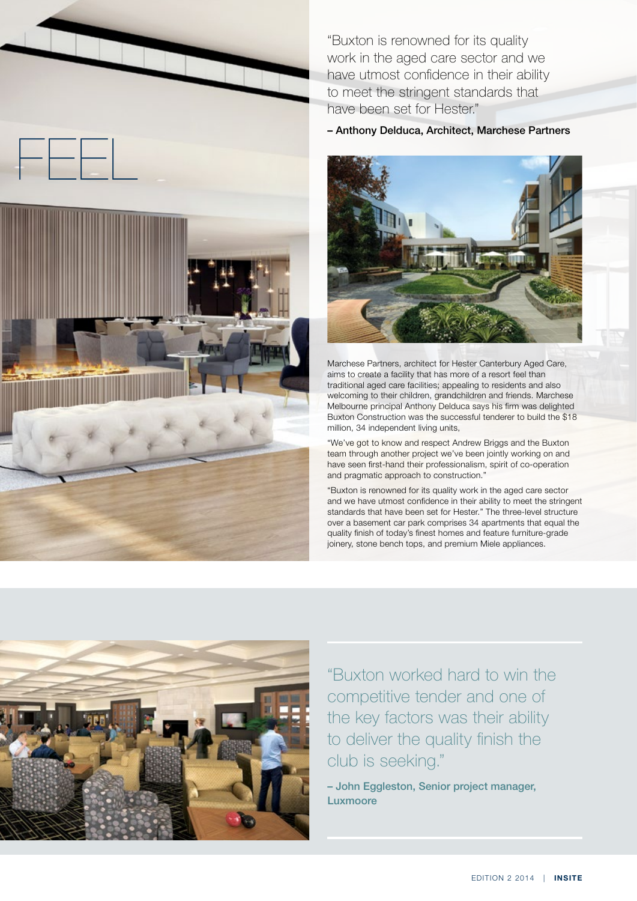

"Buxton is renowned for its quality work in the aged care sector and we have utmost confidence in their ability to meet the stringent standards that have been set for Hester."

– Anthony Delduca, Architect, Marchese Partners



Marchese Partners, architect for Hester Canterbury Aged Care, aims to create a facility that has more of a resort feel than traditional aged care facilities; appealing to residents and also welcoming to their children, grandchildren and friends. Marchese Melbourne principal Anthony Delduca says his firm was delighted Buxton Construction was the successful tenderer to build the \$18 million, 34 independent living units,

"We've got to know and respect Andrew Briggs and the Buxton team through another project we've been jointly working on and have seen first-hand their professionalism, spirit of co-operation and pragmatic approach to construction.

"Buxton is renowned for its quality work in the aged care sector and we have utmost confidence in their ability to meet the stringent standards that have been set for Hester." The three-level structure over a basement car park comprises 34 apartments that equal the quality finish of today's finest homes and feature furniture-grade joinery, stone bench tops, and premium Miele appliances.



"Buxton worked hard to win the competitive tender and one of the key factors was their ability to deliver the quality finish the club is seeking."

– John Eggleston, Senior project manager, Luxmoore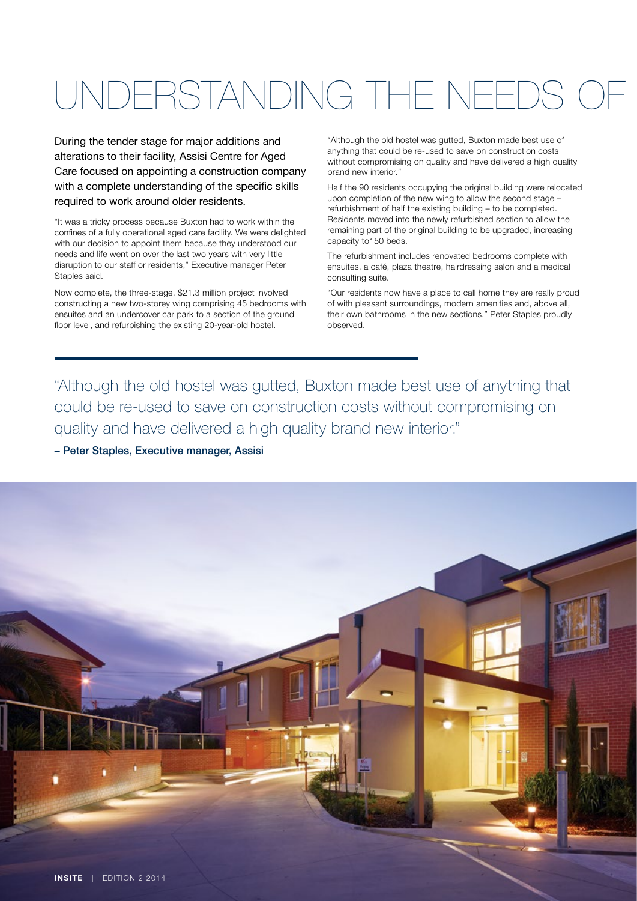# UNDERSTANDING THE NEEDS O

During the tender stage for major additions and alterations to their facility, Assisi Centre for Aged Care focused on appointing a construction company with a complete understanding of the specific skills required to work around older residents.

"It was a tricky process because Buxton had to work within the confines of a fully operational aged care facility. We were delighted with our decision to appoint them because they understood our needs and life went on over the last two years with very little disruption to our staff or residents," Executive manager Peter Staples said.

Now complete, the three-stage, \$21.3 million project involved constructing a new two-storey wing comprising 45 bedrooms with ensuites and an undercover car park to a section of the ground floor level, and refurbishing the existing 20-year-old hostel.

"Although the old hostel was gutted, Buxton made best use of anything that could be re-used to save on construction costs without compromising on quality and have delivered a high quality brand new interior."

Half the 90 residents occupying the original building were relocated upon completion of the new wing to allow the second stage – refurbishment of half the existing building – to be completed. Residents moved into the newly refurbished section to allow the remaining part of the original building to be upgraded, increasing capacity to150 beds.

The refurbishment includes renovated bedrooms complete with ensuites, a café, plaza theatre, hairdressing salon and a medical consulting suite.

"Our residents now have a place to call home they are really proud of with pleasant surroundings, modern amenities and, above all, their own bathrooms in the new sections," Peter Staples proudly observed.

"Although the old hostel was gutted, Buxton made best use of anything that could be re-used to save on construction costs without compromising on quality and have delivered a high quality brand new interior."

– Peter Staples, Executive manager, Assisi

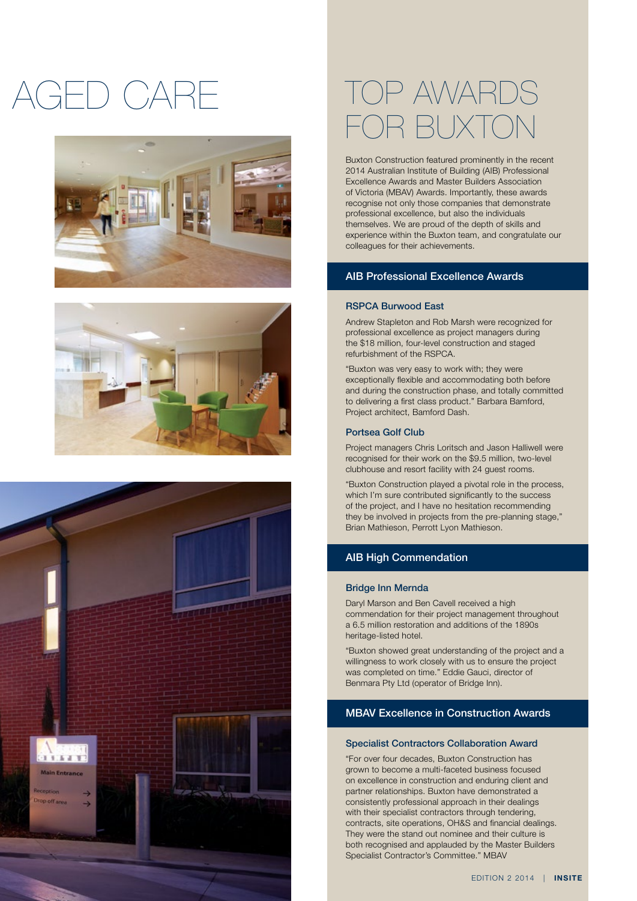# AGED CARE







### Top awards for Buxton

Buxton Construction featured prominently in the recent 2014 Australian Institute of Building (AIB) Professional Excellence Awards and Master Builders Association of Victoria (MBAV) Awards. Importantly, these awards recognise not only those companies that demonstrate professional excellence, but also the individuals themselves. We are proud of the depth of skills and experience within the Buxton team, and congratulate our colleagues for their achievements.

#### AIB Professional Excellence Awards

#### RSPCA Burwood East

Andrew Stapleton and Rob Marsh were recognized for professional excellence as project managers during the \$18 million, four-level construction and staged refurbishment of the RSPCA.

"Buxton was very easy to work with; they were exceptionally flexible and accommodating both before and during the construction phase, and totally committed to delivering a first class product." Barbara Bamford, Project architect, Bamford Dash.

#### Portsea Golf Club

Project managers Chris Loritsch and Jason Halliwell were recognised for their work on the \$9.5 million, two-level clubhouse and resort facility with 24 guest rooms.

"Buxton Construction played a pivotal role in the process, which I'm sure contributed significantly to the success of the project, and I have no hesitation recommending they be involved in projects from the pre-planning stage," Brian Mathieson, Perrott Lyon Mathieson.

#### AIB High Commendation

#### Bridge Inn Mernda

Daryl Marson and Ben Cavell received a high commendation for their project management throughout a 6.5 million restoration and additions of the 1890s heritage-listed hotel.

"Buxton showed great understanding of the project and a willingness to work closely with us to ensure the project was completed on time." Eddie Gauci, director of Benmara Pty Ltd (operator of Bridge Inn).

#### MBAV Excellence in Construction Awards

#### Specialist Contractors Collaboration Award

"For over four decades, Buxton Construction has grown to become a multi-faceted business focused on excellence in construction and enduring client and partner relationships. Buxton have demonstrated a consistently professional approach in their dealings with their specialist contractors through tendering, contracts, site operations, OH&S and financial dealings. They were the stand out nominee and their culture is both recognised and applauded by the Master Builders Specialist Contractor's Committee." MBAV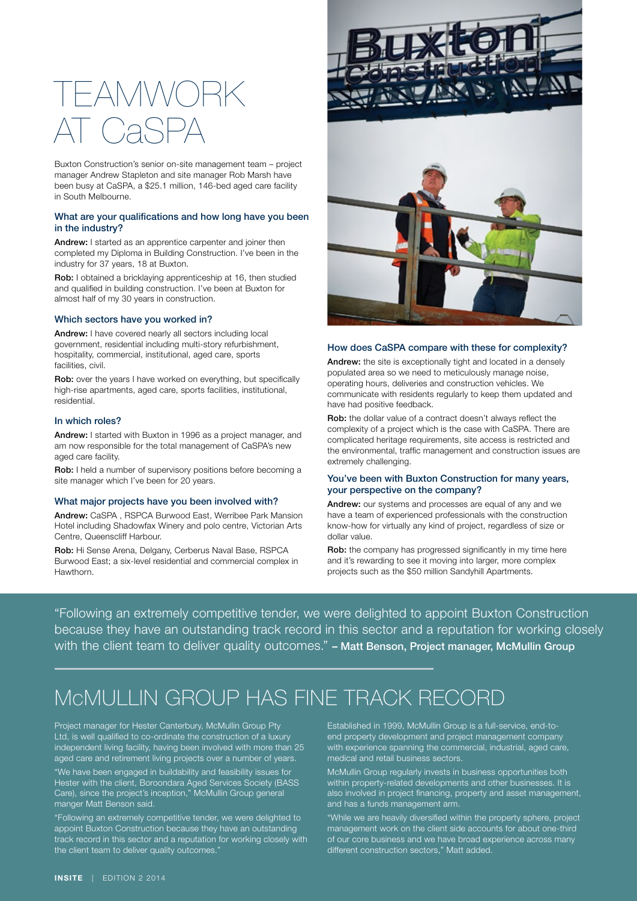## Teamwork  $\forall$  Case

Buxton Construction's senior on-site management team – project manager Andrew Stapleton and site manager Rob Marsh have been busy at CaSPA, a \$25.1 million, 146-bed aged care facility in South Melbourne.

#### What are your qualifications and how long have you been in the industry?

Andrew: I started as an apprentice carpenter and joiner then completed my Diploma in Building Construction. I've been in the industry for 37 years, 18 at Buxton.

Rob: I obtained a bricklaying apprenticeship at 16, then studied and qualified in building construction. I've been at Buxton for almost half of my 30 years in construction.

#### Which sectors have you worked in?

Andrew: I have covered nearly all sectors including local government, residential including multi-story refurbishment, hospitality, commercial, institutional, aged care, sports facilities, civil.

Rob: over the years I have worked on everything, but specifically high-rise apartments, aged care, sports facilities, institutional, residential.

#### In which roles?

Andrew: I started with Buxton in 1996 as a project manager, and am now responsible for the total management of CaSPA's new aged care facility.

Rob: I held a number of supervisory positions before becoming a site manager which I've been for 20 years.

#### What major projects have you been involved with?

Andrew: CaSPA , RSPCA Burwood East, Werribee Park Mansion Hotel including Shadowfax Winery and polo centre, Victorian Arts Centre, Queenscliff Harbour.

Rob: Hi Sense Arena, Delgany, Cerberus Naval Base, RSPCA Burwood East; a six-level residential and commercial complex in **Hawthorn** 



#### How does CaSPA compare with these for complexity?

Andrew: the site is exceptionally tight and located in a densely populated area so we need to meticulously manage noise, operating hours, deliveries and construction vehicles. We communicate with residents regularly to keep them updated and have had positive feedback.

Rob: the dollar value of a contract doesn't always reflect the complexity of a project which is the case with CaSPA. There are complicated heritage requirements, site access is restricted and the environmental, traffic management and construction issues are extremely challenging.

#### You've been with Buxton Construction for many years, your perspective on the company?

Andrew: our systems and processes are equal of any and we have a team of experienced professionals with the construction know-how for virtually any kind of project, regardless of size or dollar value.

Rob: the company has progressed significantly in my time here and it's rewarding to see it moving into larger, more complex projects such as the \$50 million Sandyhill Apartments.

"Following an extremely competitive tender, we were delighted to appoint Buxton Construction because they have an outstanding track record in this sector and a reputation for working closely with the client team to deliver quality outcomes." - Matt Benson, Project manager, McMullin Group

### McMullin Group has fine track record

Project manager for Hester Canterbury, McMullin Group Pty Ltd, is well qualified to co-ordinate the construction of a luxury independent living facility, having been involved with more than 25 aged care and retirement living projects over a number of years.

"We have been engaged in buildability and feasibility issues for Hester with the client, Boroondara Aged Services Society (BASS Care), since the project's inception," McMullin Group general manger Matt Benson said.

"Following an extremely competitive tender, we were delighted to appoint Buxton Construction because they have an outstanding track record in this sector and a reputation for working closely with the client team to deliver quality outcomes."

Established in 1999, McMullin Group is a full-service, end-toend property development and project management company with experience spanning the commercial, industrial, aged care, medical and retail business sectors.

McMullin Group regularly invests in business opportunities both within property-related developments and other businesses. It is also involved in project financing, property and asset management, and has a funds management arm.

"While we are heavily diversified within the property sphere, project management work on the client side accounts for about one-third of our core business and we have broad experience across many different construction sectors," Matt added.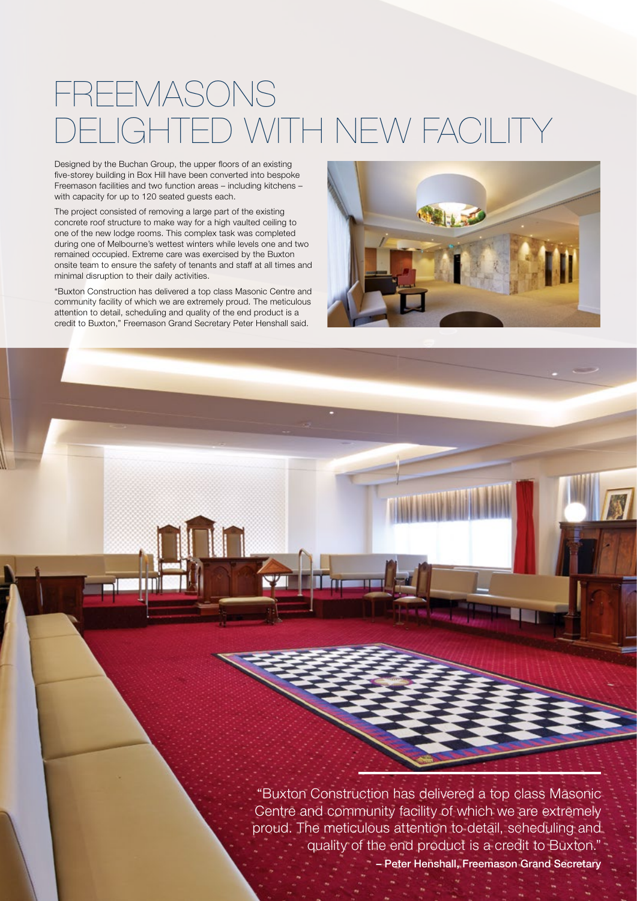## FFMASONS TH NEW FACILITY

Designed by the Buchan Group, the upper floors of an existing five-storey building in Box Hill have been converted into bespoke Freemason facilities and two function areas – including kitchens – with capacity for up to 120 seated guests each.

The project consisted of removing a large part of the existing concrete roof structure to make way for a high vaulted ceiling to one of the new lodge rooms. This complex task was completed during one of Melbourne's wettest winters while levels one and two remained occupied. Extreme care was exercised by the Buxton onsite team to ensure the safety of tenants and staff at all times and minimal disruption to their daily activities.

"Buxton Construction has delivered a top class Masonic Centre and community facility of which we are extremely proud. The meticulous attention to detail, scheduling and quality of the end product is a credit to Buxton," Freemason Grand Secretary Peter Henshall said.



"Buxton Construction has delivered a top class Masonic Centre and community facility of which we are extremely proud. The meticulous attention to detail, scheduling and quality of the end product is a credit to Buxton." – Peter Henshall, Freemason Grand Secretary